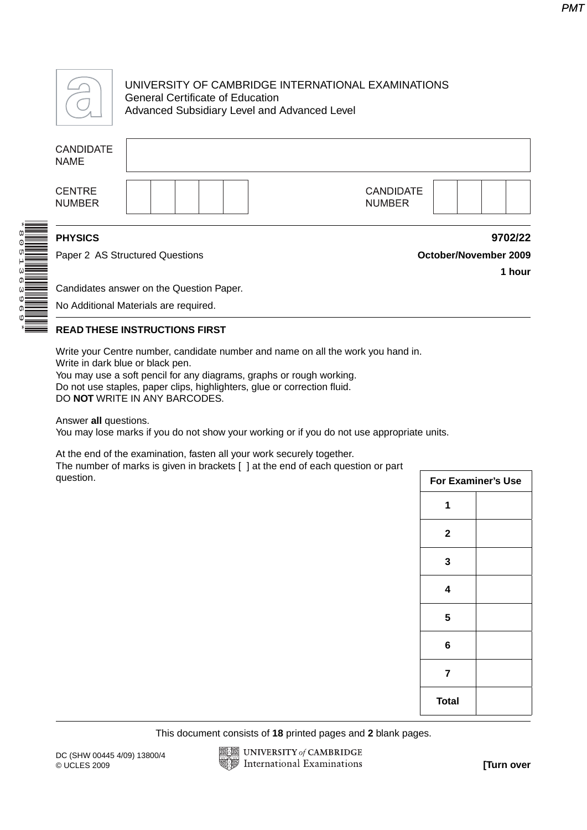

\* 0<br>Տ  $\overline{a}$ 

63<br>63<br>69

 $\Omega$ 

\*

### UNIVERSITY OF CAMBRIDGE INTERNATIONAL EXAMINATIONS General Certificate of Education Advanced Subsidiary Level and Advanced Level

| <b>CANDIDATE</b><br><b>NAME</b> |  |                                   |
|---------------------------------|--|-----------------------------------|
| <b>CENTRE</b><br><b>NUMBER</b>  |  | <b>CANDIDATE</b><br><b>NUMBER</b> |
| <b>PHYSICS</b>                  |  | 9702/22                           |
| Paper 2 AS Structured Questions |  | October/November 2009             |

**1 hour**

Candidates answer on the Question Paper.

No Additional Materials are required.

### **READ THESE INSTRUCTIONS FIRST**

Write your Centre number, candidate number and name on all the work you hand in.

Write in dark blue or black pen.

You may use a soft pencil for any diagrams, graphs or rough working.

Do not use staples, paper clips, highlighters, glue or correction fluid.

DO **NOT** WRITE IN ANY BARCODES.

Answer **all** questions.

You may lose marks if you do not show your working or if you do not use appropriate units.

At the end of the examination, fasten all your work securely together.

The number of marks is given in brackets [ ] at the end of each question or part question.

| For Examiner's Use |  |  |  |
|--------------------|--|--|--|
| 1                  |  |  |  |
| 2                  |  |  |  |
| 3                  |  |  |  |
| 4                  |  |  |  |
| 5                  |  |  |  |
| 6                  |  |  |  |
| 7                  |  |  |  |
| <b>Total</b>       |  |  |  |

This document consists of **18** printed pages and **2** blank pages.

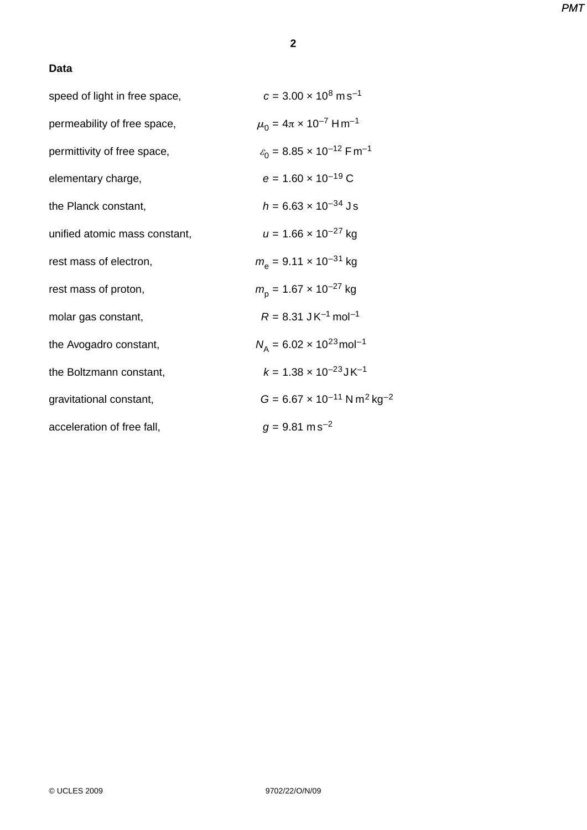#### **Data**

| speed of light in free space, | $c = 3.00 \times 10^8 \text{ m s}^{-1}$                      |
|-------------------------------|--------------------------------------------------------------|
| permeability of free space,   | $\mu_0 = 4\pi \times 10^{-7}$ Hm <sup>-1</sup>               |
| permittivity of free space,   | $\varepsilon_0$ = 8.85 x 10 <sup>-12</sup> Fm <sup>-1</sup>  |
| elementary charge,            | $e = 1.60 \times 10^{-19}$ C                                 |
| the Planck constant,          | $h = 6.63 \times 10^{-34}$ Js                                |
| unified atomic mass constant, | $u = 1.66 \times 10^{-27}$ kg                                |
| rest mass of electron,        | $m_e$ = 9.11 $\times$ 10 <sup>-31</sup> kg                   |
| rest mass of proton,          | $m_{\rm p}$ = 1.67 × 10 <sup>-27</sup> kg                    |
| molar gas constant,           | $R = 8.31$ JK <sup>-1</sup> mol <sup>-1</sup>                |
| the Avogadro constant,        | $N_{\text{A}} = 6.02 \times 10^{23} \text{mol}^{-1}$         |
| the Boltzmann constant,       | $k = 1.38 \times 10^{-23}$ JK <sup>-1</sup>                  |
| gravitational constant,       | $G = 6.67 \times 10^{-11}$ N m <sup>2</sup> kg <sup>-2</sup> |
| acceleration of free fall,    | $g = 9.81$ ms <sup>-2</sup>                                  |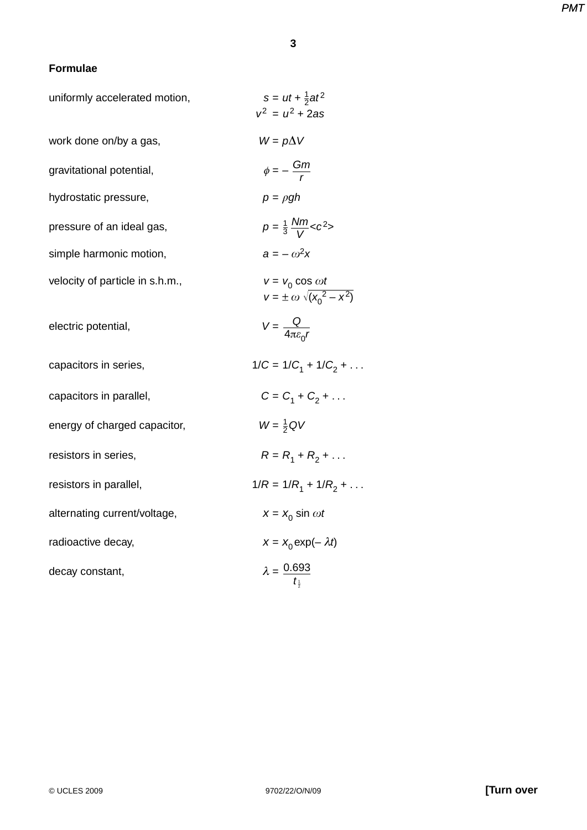# **Formulae**

| $s = ut + \frac{1}{2}at^2$<br>$v^2 = u^2 + 2as$                  |
|------------------------------------------------------------------|
|                                                                  |
| $W = p\Delta V$                                                  |
| $\phi = -\frac{Gm}{r}$                                           |
| $p = \rho gh$                                                    |
| $p = \frac{1}{3} \frac{Nm}{V} < c^2$                             |
| $a = -\omega^2 x$                                                |
| $v = v_0 \cos \omega t$<br>$V = \pm \omega \sqrt{(x_0^2 - x^2)}$ |
| $V = \frac{Q}{4\pi\epsilon_0 r}$                                 |
| $1/C = 1/C_1 + 1/C_2 + \dots$                                    |
| $C = C_1 + C_2 + $                                               |
| $W = \frac{1}{2} QV$                                             |
| $R = R_1 + R_2 + $                                               |
| $1/R = 1/R_1 + 1/R_2 + \dots$                                    |
| $x = x_0 \sin \omega t$                                          |
| $x = x_0 \exp(-\lambda t)$                                       |
| $\lambda = \frac{0.693}{t_1}$                                    |
|                                                                  |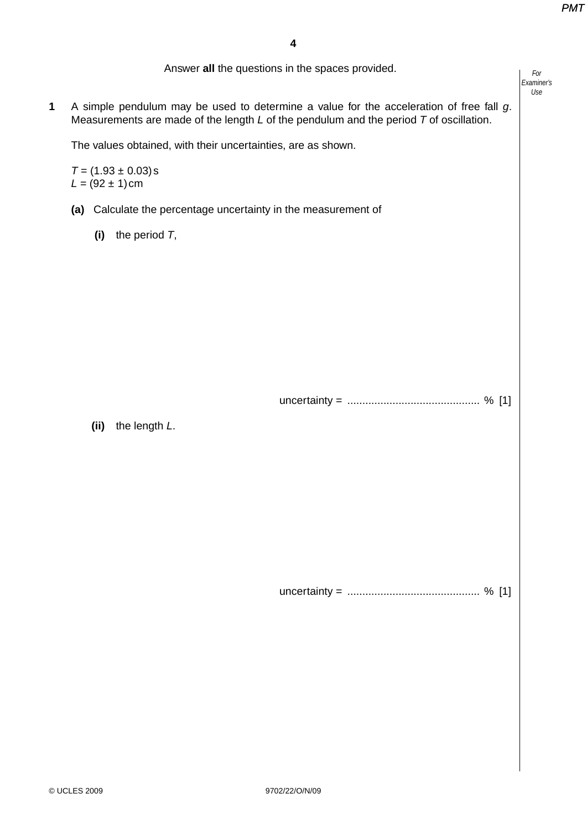*For Examiner's Use*

Answer **all** the questions in the spaces provided.

**1** A simple pendulum may be used to determine a value for the acceleration of free fall *g*. Measurements are made of the length *L* of the pendulum and the period *T* of oscillation.

The values obtained, with their uncertainties, are as shown.

 $T = (1.93 \pm 0.03)$  s  $L = (92 \pm 1)$  cm

- **(a)** Calculate the percentage uncertainty in the measurement of
	- **(i)** the period *T*,

uncertainty = ............................................ % [1]

 **(ii)** the length *L*.

uncertainty = ............................................ % [1]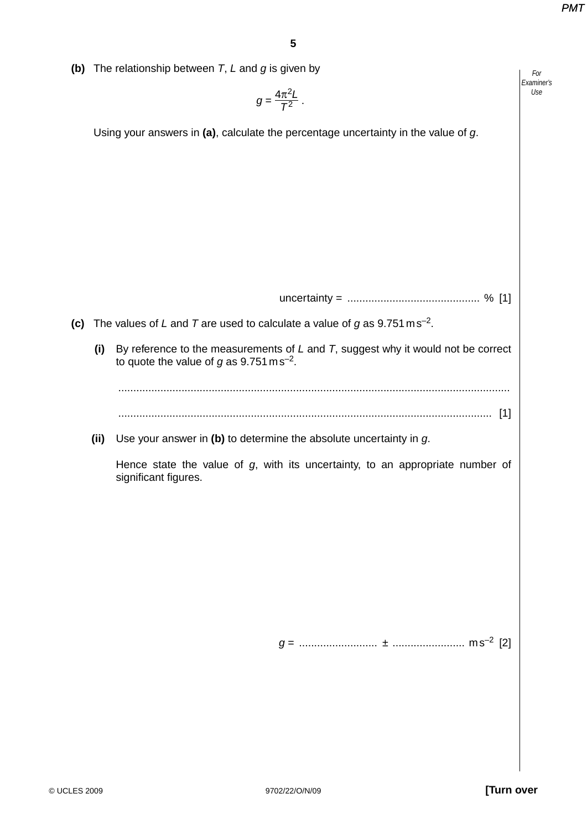*For Examiner's Use*

 **(b)** The relationship between *T*, *L* and *g* is given by

$$
g=\frac{4\pi^2L}{T^2}.
$$

Using your answers in **(a)**, calculate the percentage uncertainty in the value of *g*.

 uncertainty = ............................................ % [1]  **(c)** The values of *L* and *T* are used to calculate a value of *g* as 9.751 m s–2.  **(i)** By reference to the measurements of *L* and *T*, suggest why it would not be correct to quote the value of *g* as 9.751 m s–2. .................................................................................................................................. ............................................................................................................................ [1]  **(ii)** Use your answer in **(b)** to determine the absolute uncertainty in *g*. Hence state the value of *g*, with its uncertainty, to an appropriate number of significant figures.

*g* = .......................... ± ........................ m s–2 [2]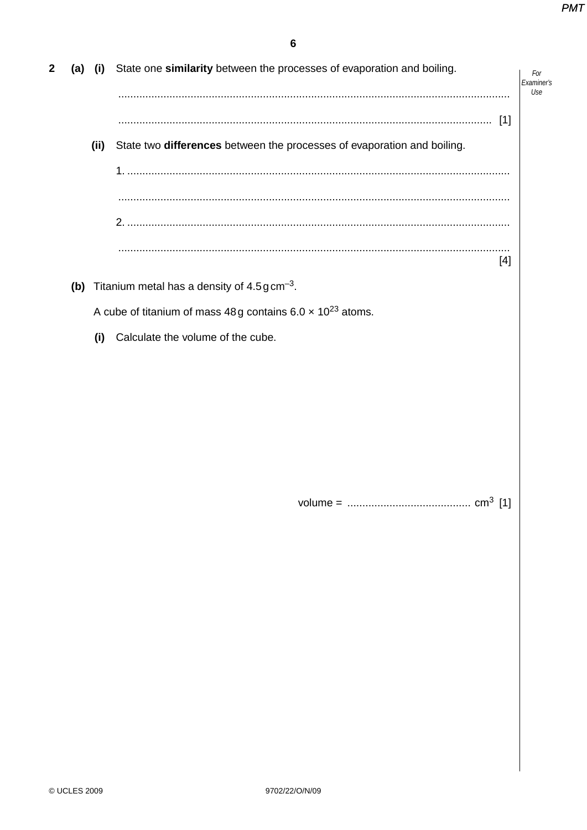| $\mathbf{2}$ | (a) | (i)  | State one similarity between the processes of evaporation and boiling.  | For<br>Examiner's<br>Use |
|--------------|-----|------|-------------------------------------------------------------------------|--------------------------|
|              |     |      | [1]                                                                     |                          |
|              |     | (ii) | State two differences between the processes of evaporation and boiling. |                          |
|              |     |      |                                                                         |                          |
|              |     |      |                                                                         |                          |
|              |     |      |                                                                         |                          |
|              |     |      | $[4]$                                                                   |                          |
|              | (b) |      | Titanium metal has a density of $4.5 \text{ g cm}^{-3}$ .               |                          |
|              |     |      | A cube of titanium of mass 48g contains $6.0 \times 10^{23}$ atoms.     |                          |
|              |     | (i)  | Calculate the volume of the cube.                                       |                          |
|              |     |      |                                                                         |                          |
|              |     |      |                                                                         |                          |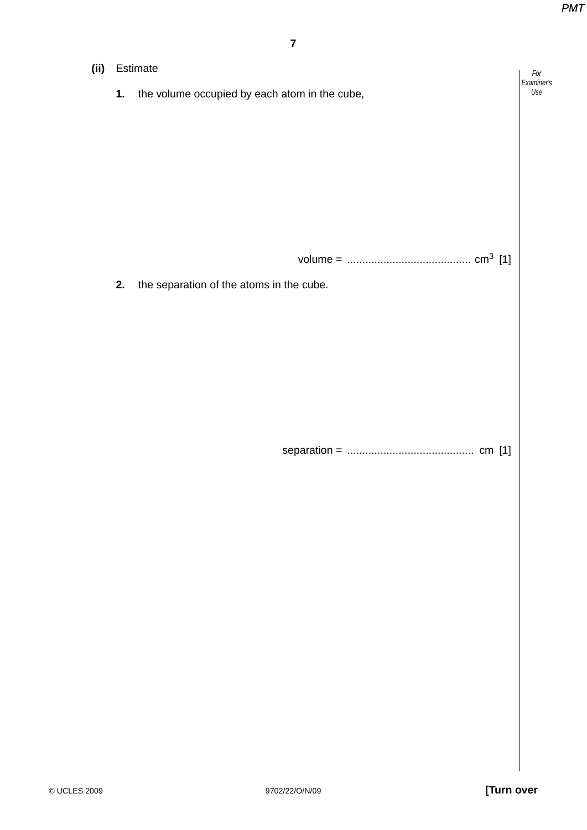|      |    | $\overline{\mathbf{7}}$                       |                   |
|------|----|-----------------------------------------------|-------------------|
| (ii) |    | Estimate                                      | For               |
|      | 1. | the volume occupied by each atom in the cube, | Examiner's<br>Use |
|      |    |                                               |                   |
|      |    |                                               |                   |
|      |    |                                               |                   |
|      | 2. | the separation of the atoms in the cube.      |                   |
|      |    |                                               |                   |
|      |    |                                               |                   |
|      |    |                                               |                   |
|      |    |                                               |                   |
|      |    |                                               |                   |
|      |    |                                               |                   |
|      |    |                                               |                   |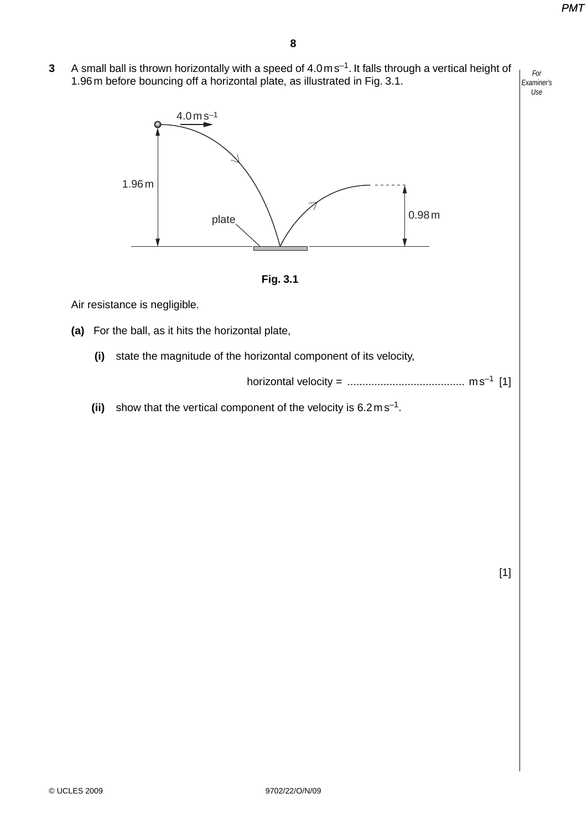*For Examiner's Use* **3** A small ball is thrown horizontally with a speed of 4.0 m s–1. It falls through a vertical height of 1.96 m before bouncing off a horizontal plate, as illustrated in Fig. 3.1.





Air resistance is negligible.

 **(a)** For the ball, as it hits the horizontal plate,

 **(i)** state the magnitude of the horizontal component of its velocity,

horizontal velocity = ....................................... m s–1 [1]

**(ii)** show that the vertical component of the velocity is  $6.2 \text{ m s}^{-1}$ .

[1]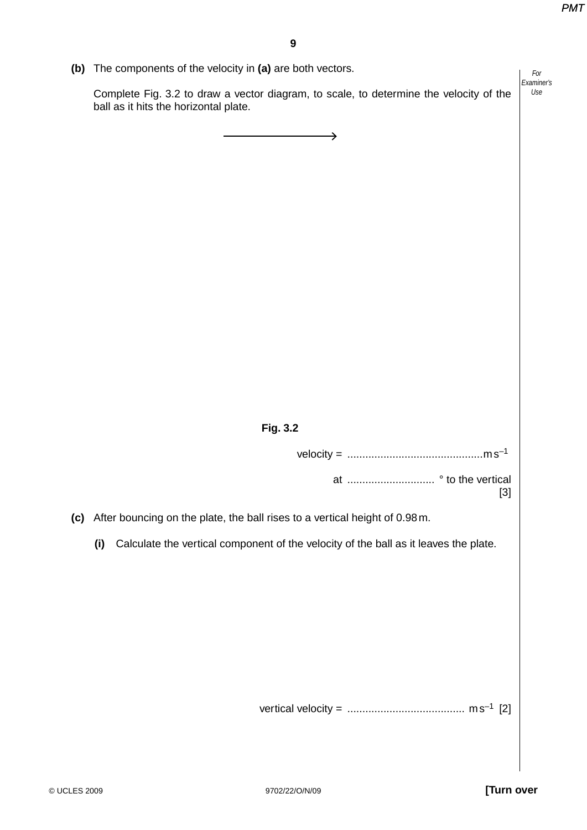*For*

 **(b)** The components of the velocity in **(a)** are both vectors.

*Examiner's Use* Complete Fig. 3.2 to draw a vector diagram, to scale, to determine the velocity of the ball as it hits the horizontal plate.

 $\rightarrow$ 

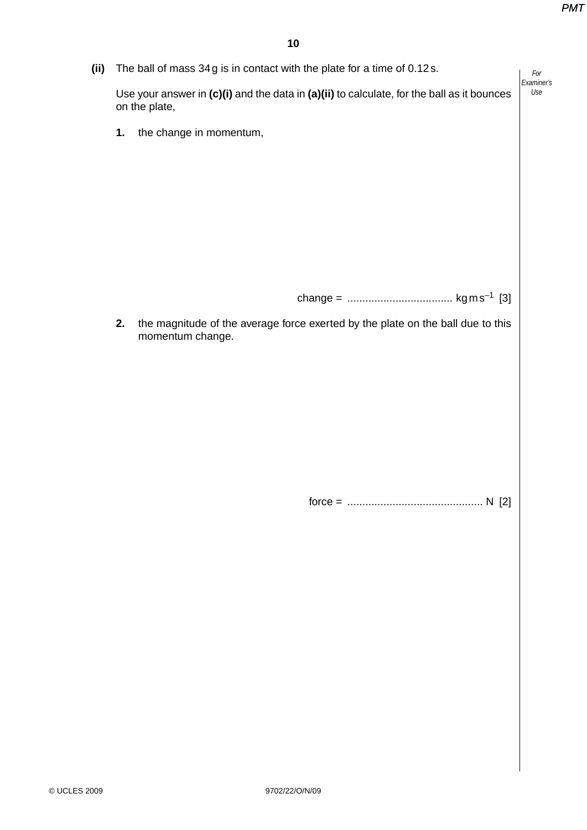*For*

*Use*

 **(ii)** The ball of mass 34 g is in contact with the plate for a time of 0.12 s.

*Examiner's* Use your answer in **(c)(i)** and the data in **(a)(ii)** to calculate, for the ball as it bounces on the plate,

 **1.** the change in momentum,

change = ................................... kg m s–1 [3]

 **2.** the magnitude of the average force exerted by the plate on the ball due to this momentum change.

force = ............................................. N [2]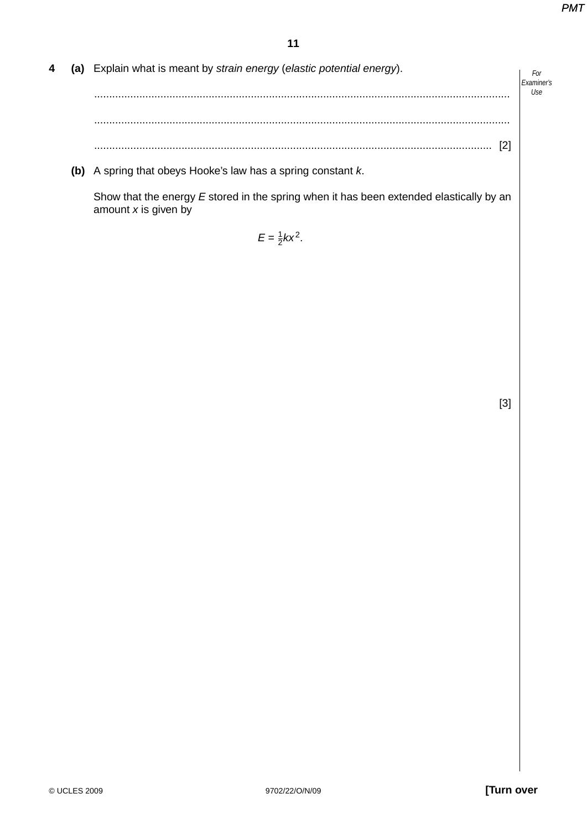- *For Examiner's Use* **4 (a)** Explain what is meant by *strain energy* (*elastic potential energy*). .......................................................................................................................................... .......................................................................................................................................... .................................................................................................................................... [2]
	- **(b)** A spring that obeys Hooke's law has a spring constant *k*.

Show that the energy *E* stored in the spring when it has been extended elastically by an amount *x* is given by

 $E = \frac{1}{2}kx^2$ .

[3]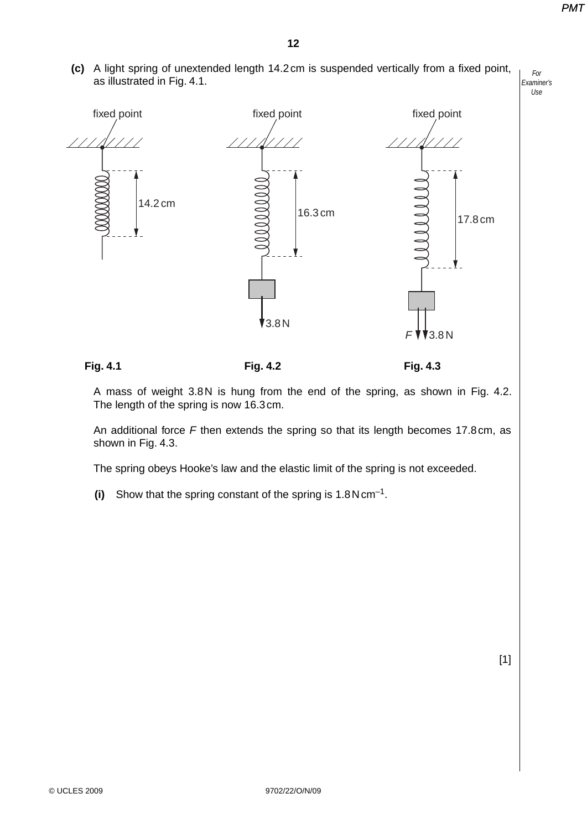*For Examiner's Use*

 **(c)** A light spring of unextended length 14.2 cm is suspended vertically from a fixed point, as illustrated in Fig. 4.1.



A mass of weight 3.8 N is hung from the end of the spring, as shown in Fig. 4.2. The length of the spring is now 16.3 cm.

An additional force *F* then extends the spring so that its length becomes 17.8 cm, as shown in Fig. 4.3.

The spring obeys Hooke's law and the elastic limit of the spring is not exceeded.

**(i)** Show that the spring constant of the spring is  $1.8 N \text{ cm}^{-1}$ .

[1]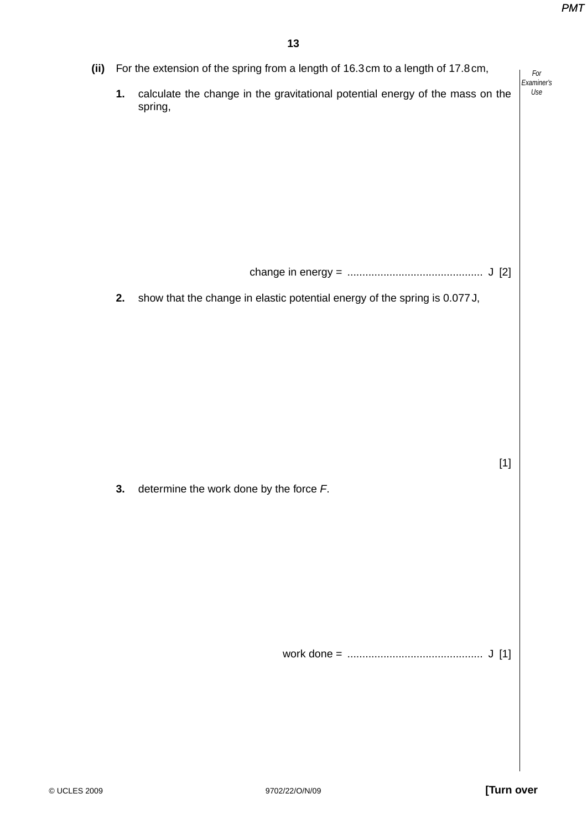*For Examiner's Use*

|  | (ii) For the extension of the spring from a length of 16.3 cm to a length of 17.8 cm, |
|--|---------------------------------------------------------------------------------------|
|--|---------------------------------------------------------------------------------------|

 **1.** calculate the change in the gravitational potential energy of the mass on the spring,

change in energy = ............................................. J [2]

 **2.** show that the change in elastic potential energy of the spring is 0.077 J,

 **3.** determine the work done by the force *F*.

work done = ............................................. J [1]

[1]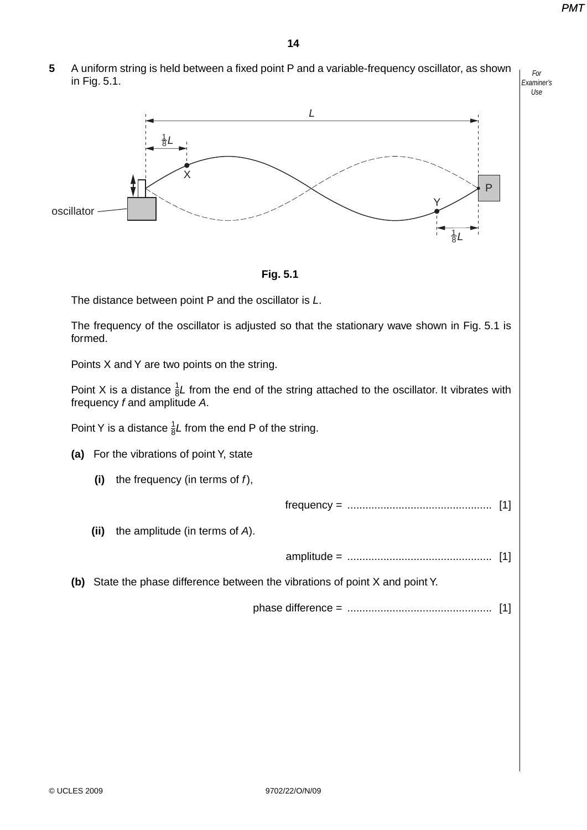**5** A uniform string is held between a fixed point P and a variable-frequency oscillator, as shown in Fig. 5.1.

*For Examiner's Use*

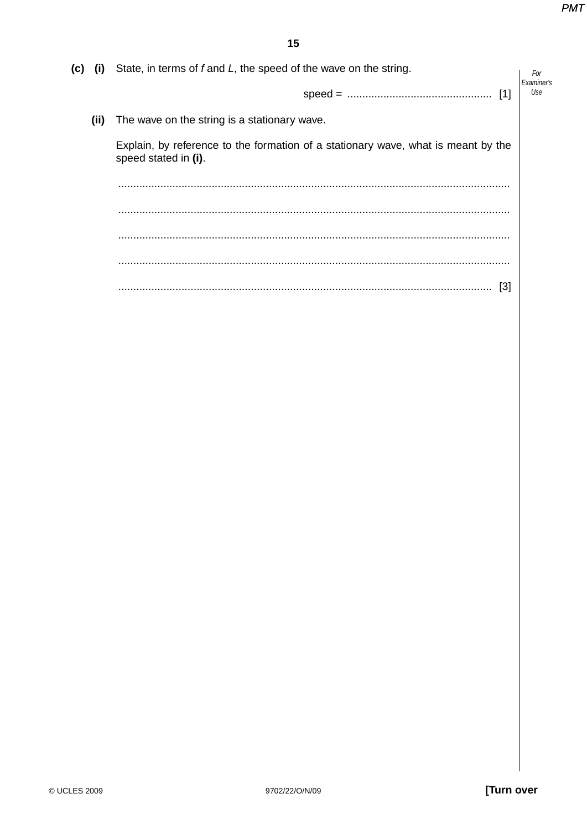For

(c) (i) State, in terms of  $f$  and  $L$ , the speed of the wave on the string.

Examiner's Use speed =  $\ldots$  [1]  $(ii)$ The wave on the string is a stationary wave. Explain, by reference to the formation of a stationary wave, what is meant by the speed stated in (i).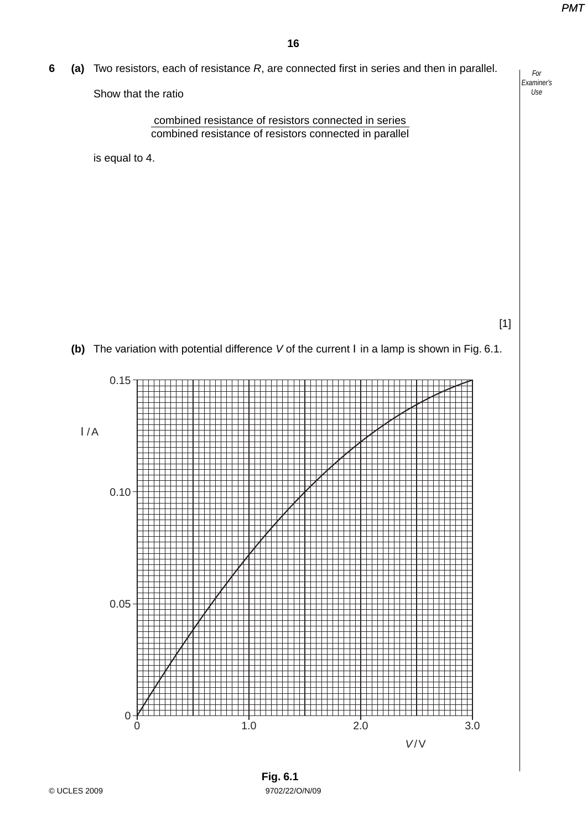*For Examiner's Use* **6 (a)** Two resistors, each of resistance *R*, are connected first in series and then in parallel. Show that the ratio combined resistance of resistors connected in series combined resistance of resistors connected in parallel

is equal to 4.

[1]

 **(b)** The variation with potential difference *V* of the current *I* in a lamp is shown in Fig. 6.1.



<sup>©</sup> UCLES 2009 9702/22/O/N/09 **Fig. 6.1**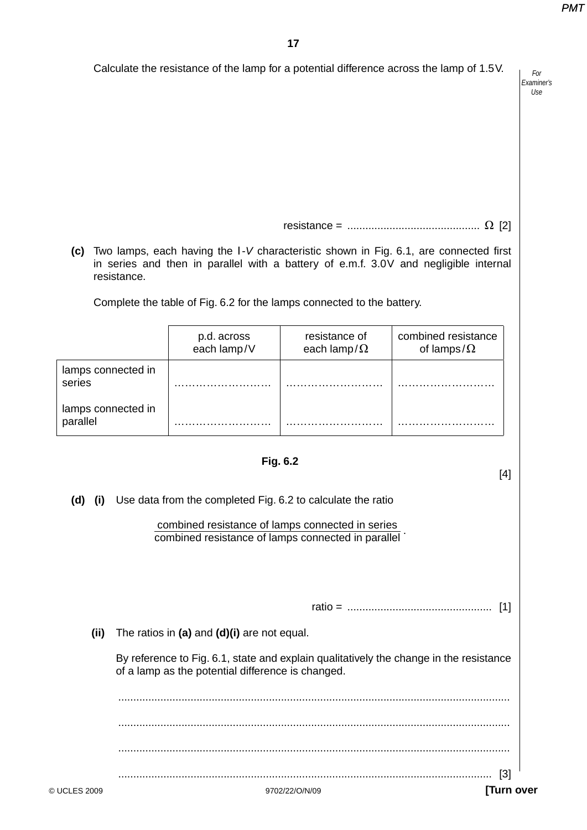Calculate the resistance of the lamp for a potential difference across the lamp of 1.5 V.

*For Examiner's Use*

resistance = ............................................ [2]

 **(c)** Two lamps, each having the *I*-*V* characteristic shown in Fig. 6.1, are connected first in series and then in parallel with a battery of e.m.f. 3.0V and negligible internal resistance.

Complete the table of Fig. 6.2 for the lamps connected to the battery.

|                                | p.d. across<br>each lamp/V | resistance of<br>each lamp/ $\Omega$ | combined resistance<br>of lamps/ $\Omega$ |
|--------------------------------|----------------------------|--------------------------------------|-------------------------------------------|
| lamps connected in<br>series   |                            |                                      |                                           |
| lamps connected in<br>parallel |                            |                                      |                                           |

### **Fig. 6.2**

 **(d) (i)** Use data from the completed Fig. 6.2 to calculate the ratio

combined resistance of lamps connected in series combined resistance of lamps connected in parallel

ratio = ................................................ [1]

 **(ii)** The ratios in **(a)** and **(d)(i)** are not equal.

By reference to Fig. 6.1, state and explain qualitatively the change in the resistance of a lamp as the potential difference is changed.

© UCLES 2009 9702/22/O/N/09 **[Turn over** .................................................................................................................................. .................................................................................................................................. .................................................................................................................................. ............................................................................................................................ [3]

[4]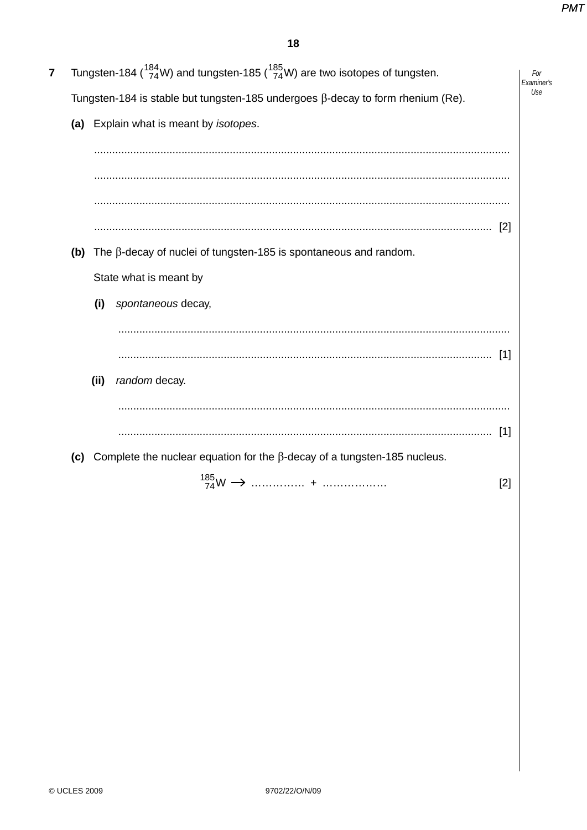| $\overline{7}$ | Tungsten-184 ( $^{184}_{74}$ W) and tungsten-185 ( $^{185}_{74}$ W) are two isotopes of tungsten. |                                                |                                                                                 |  |  |
|----------------|---------------------------------------------------------------------------------------------------|------------------------------------------------|---------------------------------------------------------------------------------|--|--|
|                | Tungsten-184 is stable but tungsten-185 undergoes $\beta$ -decay to form rhenium (Re).            |                                                |                                                                                 |  |  |
|                |                                                                                                   | (a) Explain what is meant by <i>isotopes</i> . |                                                                                 |  |  |
|                |                                                                                                   |                                                |                                                                                 |  |  |
|                |                                                                                                   |                                                |                                                                                 |  |  |
|                |                                                                                                   |                                                |                                                                                 |  |  |
|                |                                                                                                   |                                                | $\lceil 2 \rceil$                                                               |  |  |
|                | (b)                                                                                               |                                                | The $\beta$ -decay of nuclei of tungsten-185 is spontaneous and random.         |  |  |
|                | State what is meant by                                                                            |                                                |                                                                                 |  |  |
|                |                                                                                                   | (i)                                            | spontaneous decay,                                                              |  |  |
|                |                                                                                                   |                                                |                                                                                 |  |  |
|                |                                                                                                   |                                                |                                                                                 |  |  |
|                |                                                                                                   | (ii)                                           | random decay.                                                                   |  |  |
|                |                                                                                                   |                                                |                                                                                 |  |  |
|                |                                                                                                   |                                                | $\lceil 1 \rceil$                                                               |  |  |
|                | (c)                                                                                               |                                                | Complete the nuclear equation for the $\beta$ -decay of a tungsten-185 nucleus. |  |  |
|                |                                                                                                   |                                                | $[2]$                                                                           |  |  |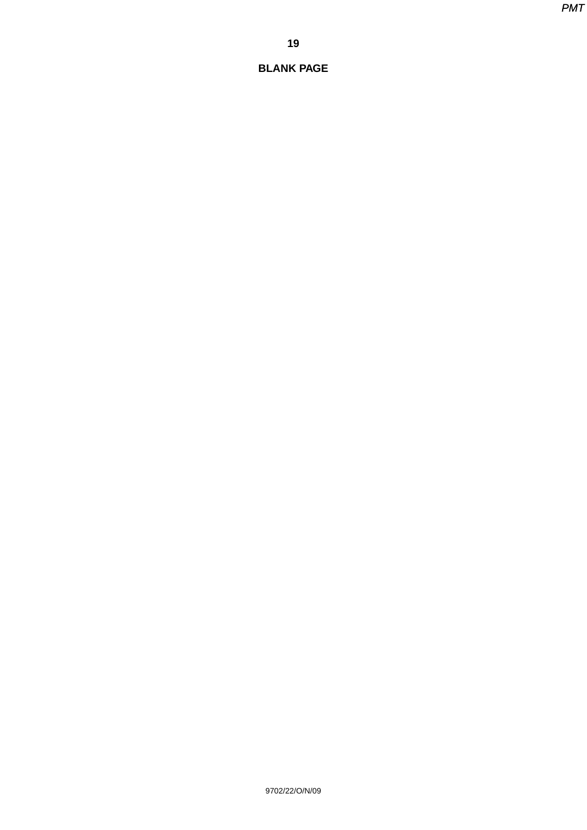# **19**

# **BLANK PAGE**